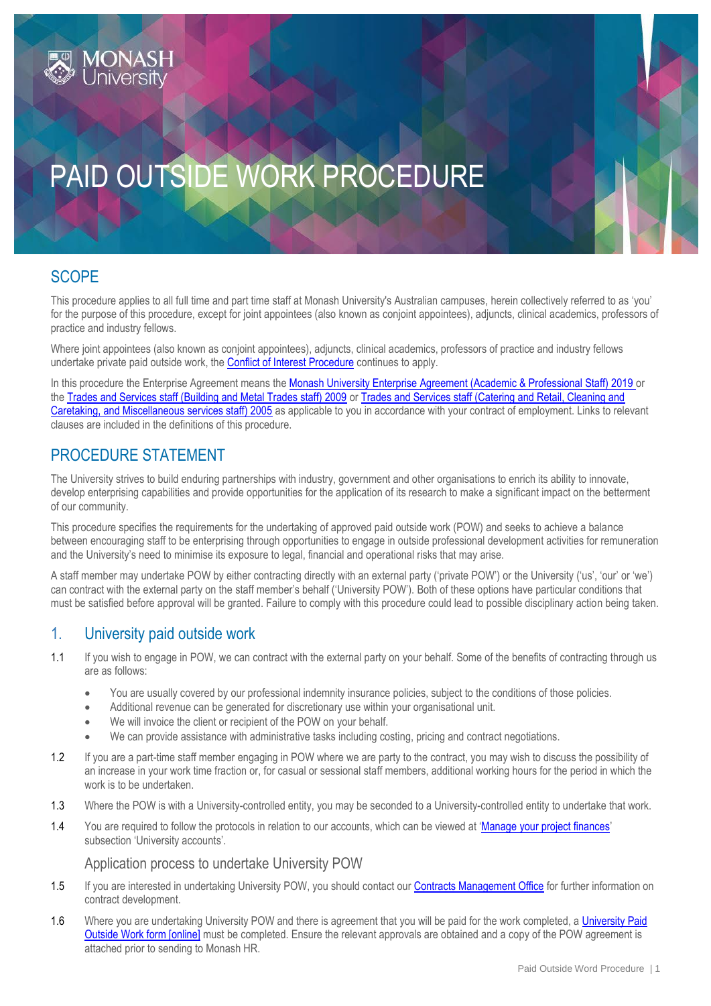# PAID OUTSIDE WORK PROCEDURE

# **SCOPE**

This procedure applies to all full time and part time staff at Monash University's Australian campuses, herein collectively referred to as 'you' for the purpose of this procedure, except for joint appointees (also known as conjoint appointees), adjuncts, clinical academics, professors of practice and industry fellows.

Where joint appointees (also known as conjoint appointees), adjuncts, clinical academics, professors of practice and industry fellows undertake private paid outside work, the [Conflict of Interest Procedure](https://publicpolicydms.monash.edu/Monash/documents/1935671) continues to apply.

In this procedure the Enterprise Agreement means the [Monash University Enterprise Agreement \(Academic & Professional Staff\) 2019](https://www.monash.edu/current-enterprise-agreements/academic-professional-2019) or the [Trades and Services staff \(Building and Metal Trades staff\) 2009](https://www.monash.edu/current-enterprise-agreements/trades-services-bmt-2009) or [Trades and Services staff \(Catering and Retail, Cleaning and](https://www.monash.edu/current-enterprise-agreements/trades-services-crccm-2005)  [Caretaking, and Miscellaneous services staff\) 2005](https://www.monash.edu/current-enterprise-agreements/trades-services-crccm-2005) as applicable to you in accordance with your contract of employment. Links to relevant clauses are included in the definitions of this procedure.

# PROCEDURE STATEMENT

The University strives to build enduring partnerships with industry, government and other organisations to enrich its ability to innovate, develop enterprising capabilities and provide opportunities for the application of its research to make a significant impact on the betterment of our community.

This procedure specifies the requirements for the undertaking of approved paid outside work (POW) and seeks to achieve a balance between encouraging staff to be enterprising through opportunities to engage in outside professional development activities for remuneration and the University's need to minimise its exposure to legal, financial and operational risks that may arise.

A staff member may undertake POW by either contracting directly with an external party ('private POW') or the University ('us', 'our' or 'we') can contract with the external party on the staff member's behalf ('University POW'). Both of these options have particular conditions that must be satisfied before approval will be granted. Failure to comply with this procedure could lead to possible disciplinary action being taken.

#### 1. University paid outside work

- 1.1 If you wish to engage in POW, we can contract with the external party on your behalf. Some of the benefits of contracting through us are as follows:
	- You are usually covered by our professional indemnity insurance policies, subject to the conditions of those policies.
	- Additional revenue can be generated for discretionary use within your organisational unit.
	- We will invoice the client or recipient of the POW on your behalf.
	- We can provide assistance with administrative tasks including costing, pricing and contract negotiations.
- 1.2 If you are a part-time staff member engaging in POW where we are party to the contract, you may wish to discuss the possibility of an increase in your work time fraction or, for casual or sessional staff members, additional working hours for the period in which the work is to be undertaken.
- 1.3 Where the POW is with a University-controlled entity, you may be seconded to a University-controlled entity to undertake that work.
- 1.4 You are required to follow the protocols in relation to our accounts, which can be viewed at '[Manage your project finances](https://www.intranet.monash/finance/our-services/financial-support-for-researchers/project-management)' subsection 'University accounts'.

Application process to undertake University POW

- 1.5 If you are interested in undertaking University POW, you should contact our [Contracts Management Office](https://www.intranet.monash/contractmanagement) for further information on contract development.
- 1.6 Where you are undertaking University POW and there is agreement that you will be paid for the work completed, a University Paid [Outside Work form \[online\]](https://www.monash.edu/eforms-resources/frevvo-forms/hr/university-paid-outside-work) must be completed. Ensure the relevant approvals are obtained and a copy of the POW agreement is attached prior to sending to Monash HR.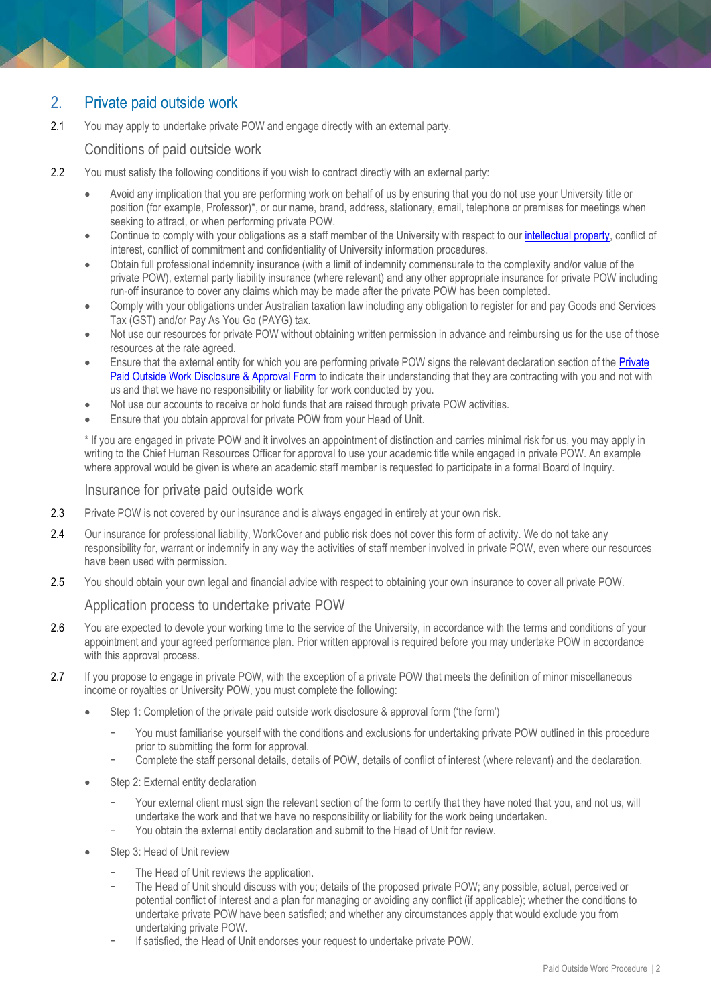# 2. Private paid outside work

2.1 You may apply to undertake private POW and engage directly with an external party.

Conditions of paid outside work

- 2.2 You must satisfy the following conditions if you wish to contract directly with an external party:
	- Avoid any implication that you are performing work on behalf of us by ensuring that you do not use your University title or position (for example, Professor)\*, or our name, brand, address, stationary, email, telephone or premises for meetings when seeking to attract, or when performing private POW.
	- Continue to comply with your obligations as a staff member of the University with respect to our [intellectual property,](https://www.monash.edu/library/researchdata/guidelines/ownership#Monash) conflict of interest, conflict of commitment and confidentiality of University information procedures.
	- Obtain full professional indemnity insurance (with a limit of indemnity commensurate to the complexity and/or value of the private POW), external party liability insurance (where relevant) and any other appropriate insurance for private POW including run-off insurance to cover any claims which may be made after the private POW has been completed.
	- Comply with your obligations under Australian taxation law including any obligation to register for and pay Goods and Services Tax (GST) and/or Pay As You Go (PAYG) tax.
	- Not use our resources for private POW without obtaining written permission in advance and reimbursing us for the use of those resources at the rate agreed.
	- Ensure that the external entity for which you are performing private POW signs the relevant declaration section of the Private [Paid Outside Work Disclosure & Approval Form](http://www.intranet.monash/hr/assets/docs/tools-and-resources/forms/pdf/private-paid-outside-work.pdf) to indicate their understanding that they are contracting with you and not with us and that we have no responsibility or liability for work conducted by you.
	- Not use our accounts to receive or hold funds that are raised through private POW activities.
	- Ensure that you obtain approval for private POW from your Head of Unit.

\* If you are engaged in private POW and it involves an appointment of distinction and carries minimal risk for us, you may apply in writing to the Chief Human Resources Officer for approval to use your academic title while engaged in private POW. An example where approval would be given is where an academic staff member is requested to participate in a formal Board of Inquiry.

#### Insurance for private paid outside work

- 2.3 Private POW is not covered by our insurance and is always engaged in entirely at your own risk.
- 2.4 Our insurance for professional liability, WorkCover and public risk does not cover this form of activity. We do not take any responsibility for, warrant or indemnify in any way the activities of staff member involved in private POW, even where our resources have been used with permission.
- 2.5 You should obtain your own legal and financial advice with respect to obtaining your own insurance to cover all private POW.

#### Application process to undertake private POW

- 2.6 You are expected to devote your working time to the service of the University, in accordance with the terms and conditions of your appointment and your agreed performance plan. Prior written approval is required before you may undertake POW in accordance with this approval process.
- 2.7 If you propose to engage in private POW, with the exception of a private POW that meets the definition of minor miscellaneous income or royalties or University POW, you must complete the following:
	- Step 1: Completion of the private paid outside work disclosure & approval form ('the form')
		- You must familiarise yourself with the conditions and exclusions for undertaking private POW outlined in this procedure prior to submitting the form for approval.
		- − Complete the staff personal details, details of POW, details of conflict of interest (where relevant) and the declaration.
	- Step 2: External entity declaration
		- Your external client must sign the relevant section of the form to certify that they have noted that you, and not us, will undertake the work and that we have no responsibility or liability for the work being undertaken.
		- You obtain the external entity declaration and submit to the Head of Unit for review.
	- Step 3: Head of Unit review
		- The Head of Unit reviews the application.
		- The Head of Unit should discuss with you; details of the proposed private POW; any possible, actual, perceived or potential conflict of interest and a plan for managing or avoiding any conflict (if applicable); whether the conditions to undertake private POW have been satisfied; and whether any circumstances apply that would exclude you from undertaking private POW.
		- If satisfied, the Head of Unit endorses your request to undertake private POW.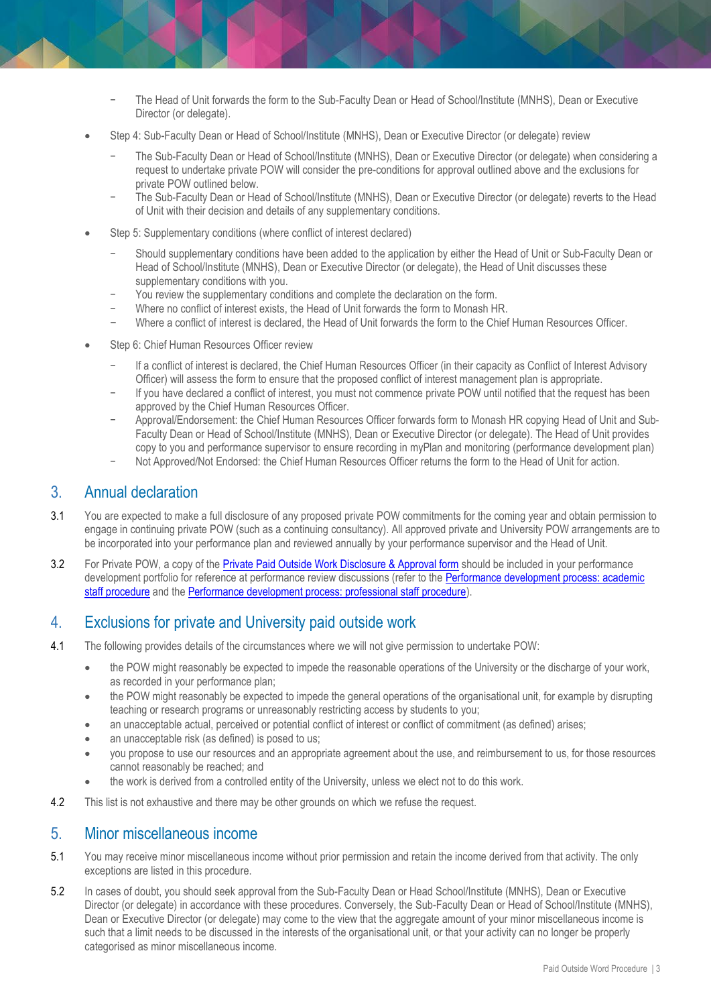- − The Head of Unit forwards the form to the Sub-Faculty Dean or Head of School/Institute (MNHS), Dean or Executive Director (or delegate).
- Step 4: Sub-Faculty Dean or Head of School/Institute (MNHS), Dean or Executive Director (or delegate) review
	- − The Sub-Faculty Dean or Head of School/Institute (MNHS), Dean or Executive Director (or delegate) when considering a request to undertake private POW will consider the pre-conditions for approval outlined above and the exclusions for private POW outlined below.
	- − The Sub-Faculty Dean or Head of School/Institute (MNHS), Dean or Executive Director (or delegate) reverts to the Head of Unit with their decision and details of any supplementary conditions.
- Step 5: Supplementary conditions (where conflict of interest declared)
	- Should supplementary conditions have been added to the application by either the Head of Unit or Sub-Faculty Dean or Head of School/Institute (MNHS), Dean or Executive Director (or delegate), the Head of Unit discusses these supplementary conditions with you.
	- You review the supplementary conditions and complete the declaration on the form.
	- − Where no conflict of interest exists, the Head of Unit forwards the form to Monash HR.
	- Where a conflict of interest is declared, the Head of Unit forwards the form to the Chief Human Resources Officer.
- Step 6: Chief Human Resources Officer review
	- − If a conflict of interest is declared, the Chief Human Resources Officer (in their capacity as Conflict of Interest Advisory Officer) will assess the form to ensure that the proposed conflict of interest management plan is appropriate.
	- − If you have declared a conflict of interest, you must not commence private POW until notified that the request has been approved by the Chief Human Resources Officer.
	- − Approval/Endorsement: the Chief Human Resources Officer forwards form to Monash HR copying Head of Unit and Sub-Faculty Dean or Head of School/Institute (MNHS), Dean or Executive Director (or delegate). The Head of Unit provides copy to you and performance supervisor to ensure recording in myPlan and monitoring (performance development plan)
	- − Not Approved/Not Endorsed: the Chief Human Resources Officer returns the form to the Head of Unit for action.

#### 3. Annual declaration

- 3.1 You are expected to make a full disclosure of any proposed private POW commitments for the coming year and obtain permission to engage in continuing private POW (such as a continuing consultancy). All approved private and University POW arrangements are to be incorporated into your performance plan and reviewed annually by your performance supervisor and the Head of Unit.
- 3.2 For Private POW, a copy of the **[Private Paid Outside Work Disclosure & Approval form](http://www.intranet.monash/hr/assets/docs/tools-and-resources/forms/pdf/private-paid-outside-work.pdf)** should be included in your performance development portfolio for reference at performance review discussions (refer to the Performance development process: academic [staff procedure](https://publicpolicydms.monash.edu/Monash/documents/1935710) and the [Performance development process: professional staff procedure\)](https://publicpolicydms.monash.edu/Monash/documents/1935712).

#### 4. Exclusions for private and University paid outside work

- 4.1 The following provides details of the circumstances where we will not give permission to undertake POW:
	- the POW might reasonably be expected to impede the reasonable operations of the University or the discharge of your work, as recorded in your performance plan;
	- the POW might reasonably be expected to impede the general operations of the organisational unit, for example by disrupting teaching or research programs or unreasonably restricting access by students to you;
	- an unacceptable actual, perceived or potential conflict of interest or conflict of commitment (as defined) arises;
	- an unacceptable risk (as defined) is posed to us;
	- you propose to use our resources and an appropriate agreement about the use, and reimbursement to us, for those resources cannot reasonably be reached; and
	- the work is derived from a controlled entity of the University, unless we elect not to do this work.
- 4.2 This list is not exhaustive and there may be other grounds on which we refuse the request.

#### 5. Minor miscellaneous income

- 5.1 You may receive minor miscellaneous income without prior permission and retain the income derived from that activity. The only exceptions are listed in this procedure.
- 5.2 In cases of doubt, you should seek approval from the Sub-Faculty Dean or Head School/Institute (MNHS), Dean or Executive Director (or delegate) in accordance with these procedures. Conversely, the Sub-Faculty Dean or Head of School/Institute (MNHS), Dean or Executive Director (or delegate) may come to the view that the aggregate amount of your minor miscellaneous income is such that a limit needs to be discussed in the interests of the organisational unit, or that your activity can no longer be properly categorised as minor miscellaneous income.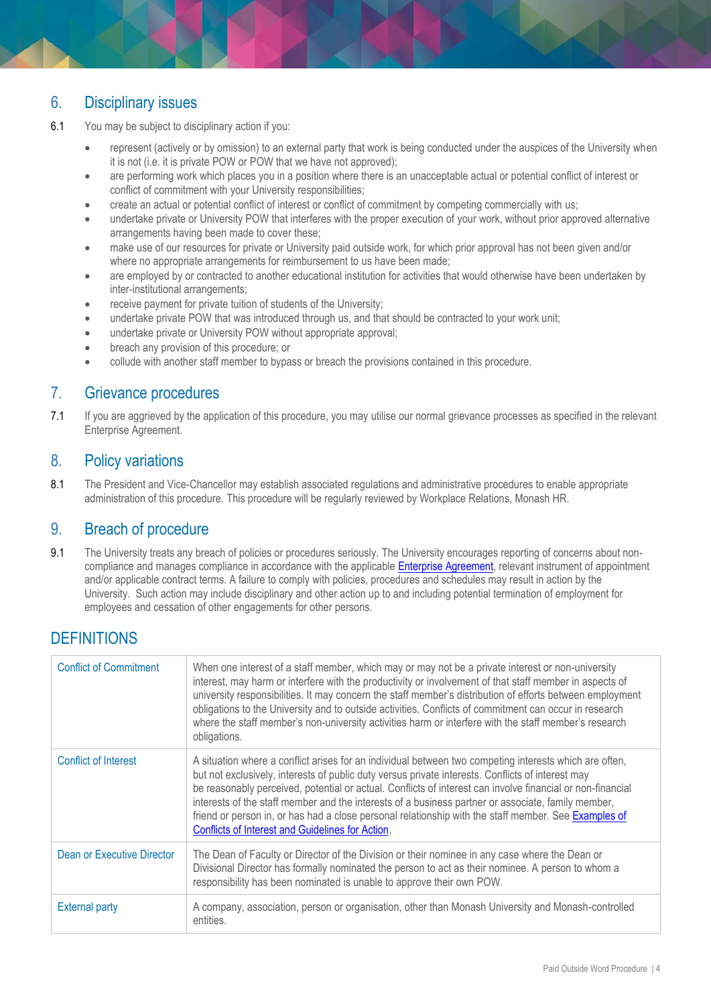# 6. Disciplinary issues

6.1 You may be subject to disciplinary action if you:

- represent (actively or by omission) to an external party that work is being conducted under the auspices of the University when it is not (i.e. it is private POW or POW that we have not approved);
- are performing work which places you in a position where there is an unacceptable actual or potential conflict of interest or conflict of commitment with your University responsibilities;
- create an actual or potential conflict of interest or conflict of commitment by competing commercially with us;
- undertake private or University POW that interferes with the proper execution of your work, without prior approved alternative arrangements having been made to cover these;
- make use of our resources for private or University paid outside work, for which prior approval has not been given and/or where no appropriate arrangements for reimbursement to us have been made;
- are employed by or contracted to another educational institution for activities that would otherwise have been undertaken by inter-institutional arrangements;
- receive payment for private tuition of students of the University;
- undertake private POW that was introduced through us, and that should be contracted to your work unit;
- undertake private or University POW without appropriate approval;
- breach any provision of this procedure; or
- collude with another staff member to bypass or breach the provisions contained in this procedure.

#### 7. Grievance procedures

7.1 If you are aggrieved by the application of this procedure, you may utilise our normal grievance processes as specified in the relevant Enterprise Agreement.

#### 8. Policy variations

8.1 The President and Vice-Chancellor may establish associated regulations and administrative procedures to enable appropriate administration of this procedure. This procedure will be regularly reviewed by Workplace Relations, Monash HR.

#### 9. Breach of procedure

9.1 The University treats any breach of policies or procedures seriously. The University encourages reporting of concerns about noncompliance and manages compliance in accordance with the applicabl[e Enterprise Agreement,](https://www.monash.edu/current-enterprise-agreements) relevant instrument of appointment and/or applicable contract terms. A failure to comply with policies, procedures and schedules may result in action by the University. Such action may include disciplinary and other action up to and including potential termination of employment for employees and cessation of other engagements for other persons.

### **DEFINITIONS**

| <b>Conflict of Commitment</b> | When one interest of a staff member, which may or may not be a private interest or non-university<br>interest, may harm or interfere with the productivity or involvement of that staff member in aspects of<br>university responsibilities. It may concern the staff member's distribution of efforts between employment<br>obligations to the University and to outside activities. Conflicts of commitment can occur in research<br>where the staff member's non-university activities harm or interfere with the staff member's research<br>obligations.                                |
|-------------------------------|---------------------------------------------------------------------------------------------------------------------------------------------------------------------------------------------------------------------------------------------------------------------------------------------------------------------------------------------------------------------------------------------------------------------------------------------------------------------------------------------------------------------------------------------------------------------------------------------|
| Conflict of Interest          | A situation where a conflict arises for an individual between two competing interests which are often,<br>but not exclusively, interests of public duty versus private interests. Conflicts of interest may<br>be reasonably perceived, potential or actual. Conflicts of interest can involve financial or non-financial<br>interests of the staff member and the interests of a business partner or associate, family member,<br>friend or person in, or has had a close personal relationship with the staff member. See Examples of<br>Conflicts of Interest and Guidelines for Action. |
| Dean or Executive Director    | The Dean of Faculty or Director of the Division or their nominee in any case where the Dean or<br>Divisional Director has formally nominated the person to act as their nominee. A person to whom a<br>responsibility has been nominated is unable to approve their own POW.                                                                                                                                                                                                                                                                                                                |
| <b>External party</b>         | A company, association, person or organisation, other than Monash University and Monash-controlled<br>entities.                                                                                                                                                                                                                                                                                                                                                                                                                                                                             |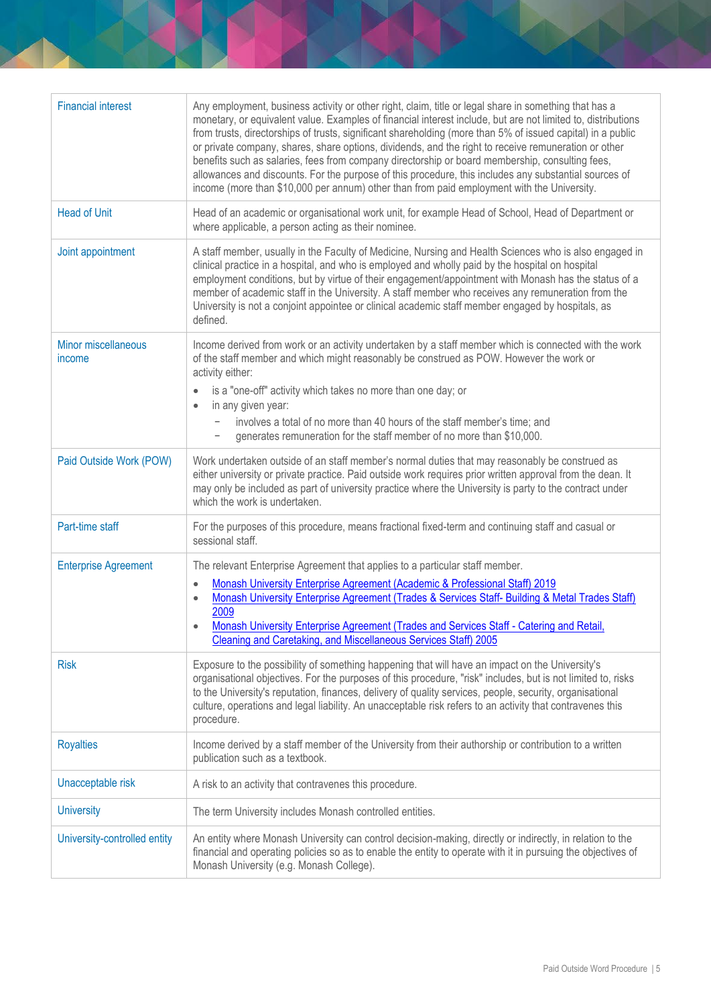| <b>Financial interest</b>     | Any employment, business activity or other right, claim, title or legal share in something that has a<br>monetary, or equivalent value. Examples of financial interest include, but are not limited to, distributions<br>from trusts, directorships of trusts, significant shareholding (more than 5% of issued capital) in a public<br>or private company, shares, share options, dividends, and the right to receive remuneration or other<br>benefits such as salaries, fees from company directorship or board membership, consulting fees,<br>allowances and discounts. For the purpose of this procedure, this includes any substantial sources of<br>income (more than \$10,000 per annum) other than from paid employment with the University. |
|-------------------------------|--------------------------------------------------------------------------------------------------------------------------------------------------------------------------------------------------------------------------------------------------------------------------------------------------------------------------------------------------------------------------------------------------------------------------------------------------------------------------------------------------------------------------------------------------------------------------------------------------------------------------------------------------------------------------------------------------------------------------------------------------------|
| <b>Head of Unit</b>           | Head of an academic or organisational work unit, for example Head of School, Head of Department or<br>where applicable, a person acting as their nominee.                                                                                                                                                                                                                                                                                                                                                                                                                                                                                                                                                                                              |
| Joint appointment             | A staff member, usually in the Faculty of Medicine, Nursing and Health Sciences who is also engaged in<br>clinical practice in a hospital, and who is employed and wholly paid by the hospital on hospital<br>employment conditions, but by virtue of their engagement/appointment with Monash has the status of a<br>member of academic staff in the University. A staff member who receives any remuneration from the<br>University is not a conjoint appointee or clinical academic staff member engaged by hospitals, as<br>defined.                                                                                                                                                                                                               |
| Minor miscellaneous<br>income | Income derived from work or an activity undertaken by a staff member which is connected with the work<br>of the staff member and which might reasonably be construed as POW. However the work or<br>activity either:                                                                                                                                                                                                                                                                                                                                                                                                                                                                                                                                   |
|                               | is a "one-off" activity which takes no more than one day; or<br>$\bullet$<br>in any given year:<br>$\bullet$                                                                                                                                                                                                                                                                                                                                                                                                                                                                                                                                                                                                                                           |
|                               | involves a total of no more than 40 hours of the staff member's time; and<br>$\overline{\phantom{a}}$<br>generates remuneration for the staff member of no more than \$10,000.                                                                                                                                                                                                                                                                                                                                                                                                                                                                                                                                                                         |
| Paid Outside Work (POW)       | Work undertaken outside of an staff member's normal duties that may reasonably be construed as<br>either university or private practice. Paid outside work requires prior written approval from the dean. It<br>may only be included as part of university practice where the University is party to the contract under<br>which the work is undertaken.                                                                                                                                                                                                                                                                                                                                                                                               |
| Part-time staff               | For the purposes of this procedure, means fractional fixed-term and continuing staff and casual or<br>sessional staff.                                                                                                                                                                                                                                                                                                                                                                                                                                                                                                                                                                                                                                 |
| <b>Enterprise Agreement</b>   | The relevant Enterprise Agreement that applies to a particular staff member.                                                                                                                                                                                                                                                                                                                                                                                                                                                                                                                                                                                                                                                                           |
|                               | Monash University Enterprise Agreement (Academic & Professional Staff) 2019<br>$\bullet$                                                                                                                                                                                                                                                                                                                                                                                                                                                                                                                                                                                                                                                               |
|                               | Monash University Enterprise Agreement (Trades & Services Staff- Building & Metal Trades Staff)<br>$\bullet$                                                                                                                                                                                                                                                                                                                                                                                                                                                                                                                                                                                                                                           |
|                               | 2009<br>Monash University Enterprise Agreement (Trades and Services Staff - Catering and Retail,<br>Cleaning and Caretaking, and Miscellaneous Services Staff) 2005                                                                                                                                                                                                                                                                                                                                                                                                                                                                                                                                                                                    |
| <b>Risk</b>                   | Exposure to the possibility of something happening that will have an impact on the University's<br>organisational objectives. For the purposes of this procedure, "risk" includes, but is not limited to, risks<br>to the University's reputation, finances, delivery of quality services, people, security, organisational<br>culture, operations and legal liability. An unacceptable risk refers to an activity that contravenes this<br>procedure.                                                                                                                                                                                                                                                                                                 |
| <b>Royalties</b>              | Income derived by a staff member of the University from their authorship or contribution to a written<br>publication such as a textbook.                                                                                                                                                                                                                                                                                                                                                                                                                                                                                                                                                                                                               |
| Unacceptable risk             | A risk to an activity that contravenes this procedure.                                                                                                                                                                                                                                                                                                                                                                                                                                                                                                                                                                                                                                                                                                 |
| <b>University</b>             | The term University includes Monash controlled entities.                                                                                                                                                                                                                                                                                                                                                                                                                                                                                                                                                                                                                                                                                               |
| University-controlled entity  | An entity where Monash University can control decision-making, directly or indirectly, in relation to the<br>financial and operating policies so as to enable the entity to operate with it in pursuing the objectives of<br>Monash University (e.g. Monash College).                                                                                                                                                                                                                                                                                                                                                                                                                                                                                  |